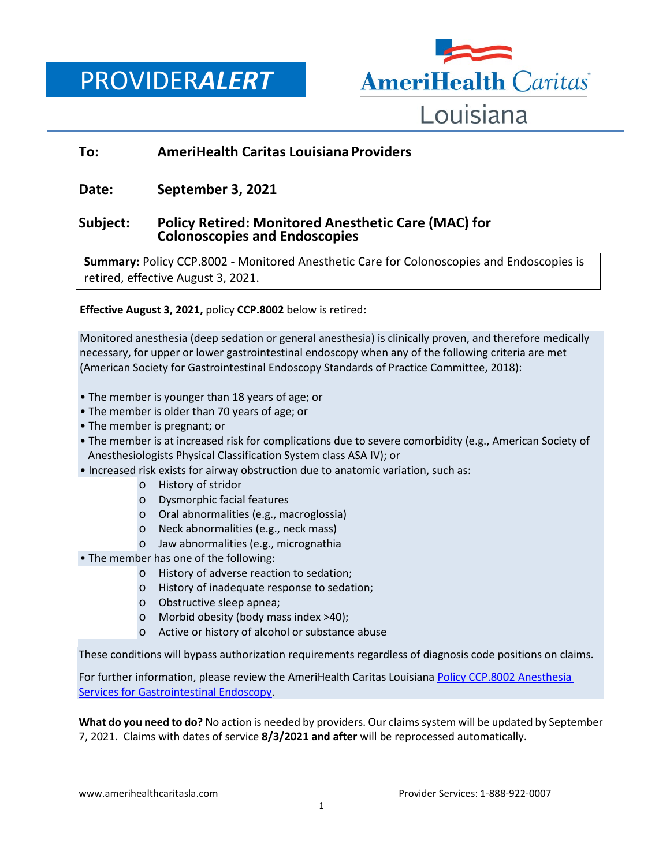PROVIDER*ALERT*



# **To: AmeriHealth Caritas Louisiana Providers**

## **Date: September 3, 2021**

## **Subject: Policy Retired: Monitored Anesthetic Care (MAC) for Colonoscopies and Endoscopies**

**Summary:** Policy CCP.8002 - Monitored Anesthetic Care for Colonoscopies and Endoscopies is retired, effective August 3, 2021.

**Effective August 3, 2021,** policy **CCP.8002** below is retired**:** 

Monitored anesthesia (deep sedation or general anesthesia) is clinically proven, and therefore medically necessary, for upper or lower gastrointestinal endoscopy when any of the following criteria are met (American Society for Gastrointestinal Endoscopy Standards of Practice Committee, 2018):

- The member is younger than 18 years of age; or
- The member is older than 70 years of age; or
- The member is pregnant; or

• The member is at increased risk for complications due to severe comorbidity (e.g., American Society of Anesthesiologists Physical Classification System class ASA IV); or

- Increased risk exists for airway obstruction due to anatomic variation, such as:
	- o History of stridor
	- o Dysmorphic facial features
	- o Oral abnormalities (e.g., macroglossia)
	- o Neck abnormalities (e.g., neck mass)
	- o Jaw abnormalities (e.g., micrognathia
- The member has one of the following:
	- o History of adverse reaction to sedation;
	- o History of inadequate response to sedation;
	- o Obstructive sleep apnea;
	- o Morbid obesity (body mass index >40);
	- o Active or history of alcohol or substance abuse

These conditions will bypass authorization requirements regardless of diagnosis code positions on claims.

For further information, please review the AmeriHealth Caritas Louisiana Policy CCP.8002 Anesthesia [Services for Gastrointestinal Endoscopy.](https://www.amerihealthcaritasla.com/pdf/provider/newsletters/0723020-provider-alert-anesthesia-services-for-gastrointestinal-endoscopy-policy.pdf)

**What do you need to do?** No action is needed by providers. Our claims system will be updated by September 7, 2021. Claims with dates of service **8/3/2021 and after** will be reprocessed automatically.